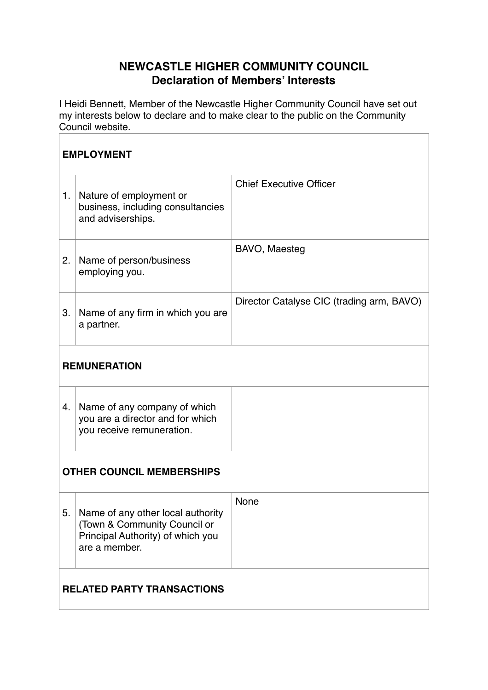## **NEWCASTLE HIGHER COMMUNITY COUNCIL Declaration of Members' Interests**

I Heidi Bennett, Member of the Newcastle Higher Community Council have set out my interests below to declare and to make clear to the public on the Community Council website.

| <b>EMPLOYMENT</b>                 |                                                                                                                         |                                           |  |  |
|-----------------------------------|-------------------------------------------------------------------------------------------------------------------------|-------------------------------------------|--|--|
| 1.                                | Nature of employment or<br>business, including consultancies<br>and adviserships.                                       | <b>Chief Executive Officer</b>            |  |  |
| 2.                                | Name of person/business<br>employing you.                                                                               | BAVO, Maesteg                             |  |  |
| 3.                                | Name of any firm in which you are<br>a partner.                                                                         | Director Catalyse CIC (trading arm, BAVO) |  |  |
| <b>REMUNERATION</b>               |                                                                                                                         |                                           |  |  |
| 4.                                | Name of any company of which<br>you are a director and for which<br>you receive remuneration.                           |                                           |  |  |
| <b>OTHER COUNCIL MEMBERSHIPS</b>  |                                                                                                                         |                                           |  |  |
| 5.                                | Name of any other local authority<br>(Town & Community Council or<br>Principal Authority) of which you<br>are a member. | None                                      |  |  |
| <b>RELATED PARTY TRANSACTIONS</b> |                                                                                                                         |                                           |  |  |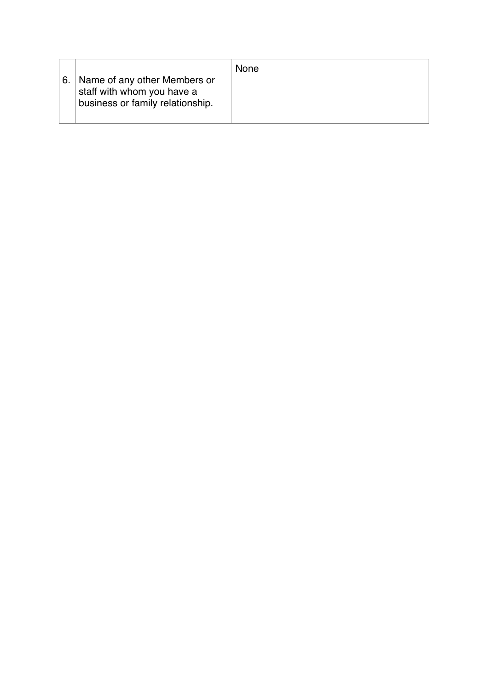| 6. I | Name of any other Members or<br>staff with whom you have a<br>business or family relationship. | <b>None</b> |
|------|------------------------------------------------------------------------------------------------|-------------|
|      |                                                                                                |             |